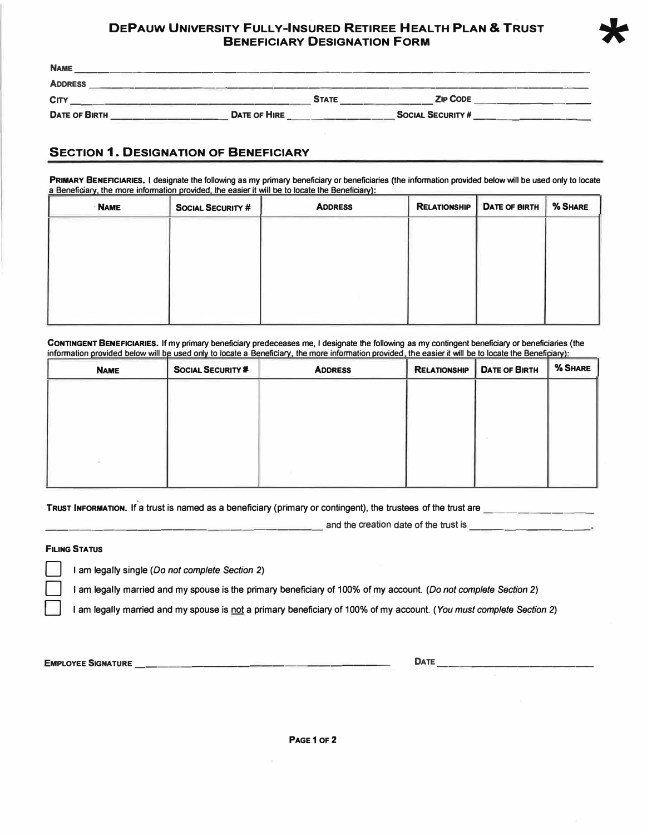## **DEPAUW UNIVERSITY FULLY-INSURED RETIREE HEALTH PLAN** & **TRUST BENEFICIARY DESIGNATION FORM**

**\***

| <b>NAME</b>          |                     |              |                          |  |
|----------------------|---------------------|--------------|--------------------------|--|
| <b>ADDRESS</b>       |                     |              |                          |  |
| CITY                 |                     | <b>STATE</b> | <b>ZIP CODE</b>          |  |
| <b>DATE OF BIRTH</b> | <b>DATE OF HIRE</b> |              | <b>SOCIAL SECURITY #</b> |  |

## **SECTION 1. DESIGNATION OF BENEFICIARY**

**PRIMARY BENEFICIARIES. I designate the following as my primary beneficiary or beneficiaries (the information provided below will be used only to locate a Beneficiary, the more information provided, the easier it will be to locate the Beneficiary):** 

| <b>NAME</b> | <b>SOCIAL SECURITY #</b> | <b>ADDRESS</b> | <b>RELATIONSHIP</b> | DATE OF BIRTH | % SHARE |
|-------------|--------------------------|----------------|---------------------|---------------|---------|
|             |                          |                |                     |               |         |
|             |                          |                |                     |               |         |
|             |                          |                |                     |               |         |
|             |                          |                |                     |               |         |
|             |                          |                |                     |               |         |

**CONTINGENT BENEFICIARIES. If my primary beneficiary predeceases me, I designate the following as my contingent beneficiary or beneficiaries (the**  information provided below will be used only to locate a Beneficiary, the more information provided, the easier it will be to locate the Beneficiary):

| <b>NAME</b> | SOCIAL SECURITY # | <b>ADDRESS</b> | <b>RELATIONSHIP</b> | <b>DATE OF BIRTH</b> | % SHARE |
|-------------|-------------------|----------------|---------------------|----------------------|---------|
|             |                   |                |                     |                      |         |
|             |                   |                |                     |                      |         |
|             |                   |                |                     |                      |         |
|             |                   |                |                     |                      |         |
|             |                   |                |                     |                      |         |
|             |                   |                |                     |                      |         |

TRUST INFORMATION. If a trust is named as a beneficiary (primary or contingent), the trustees of the trust are

and the creation date of the trust is

## **FILING STATUS**

D I am legally single *(Do not complete Section* 2)

D I am legally married and my spouse is the primary beneficiary of 100% of my account. *(Do not complete Section* 2)

D I am legally married and my spouse is not a primary beneficiary of 100% of my account. *(You must complete Section* 2)

**EMPLOYEE SIGNATURE \_\_\_\_\_\_\_\_\_\_\_\_\_\_\_\_\_\_\_\_\_ \_ DATE \_\_\_\_\_\_\_\_\_\_\_\_\_ \_**